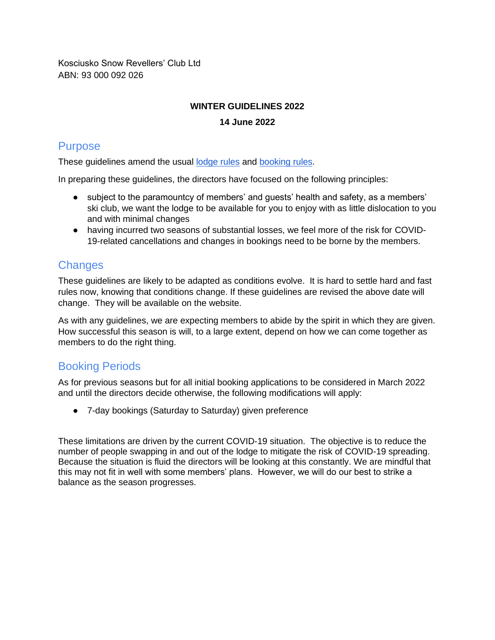Kosciusko Snow Revellers' Club Ltd ABN: 93 000 092 026

## **WINTER GUIDELINES 2022**

### **14 June 2022**

## Purpose

These guidelines amend the usual [lodge rules](https://ksrc.com.au/doc/lodge-rules.pdf) and [booking rules.](https://ksrc.com.au/doc/booking-rules.pdf)

In preparing these guidelines, the directors have focused on the following principles:

- subject to the paramountcy of members' and guests' health and safety, as a members' ski club, we want the lodge to be available for you to enjoy with as little dislocation to you and with minimal changes
- having incurred two seasons of substantial losses, we feel more of the risk for COVID-19-related cancellations and changes in bookings need to be borne by the members.

## **Changes**

These guidelines are likely to be adapted as conditions evolve. It is hard to settle hard and fast rules now, knowing that conditions change. If these guidelines are revised the above date will change. They will be available on the website.

As with any guidelines, we are expecting members to abide by the spirit in which they are given. How successful this season is will, to a large extent, depend on how we can come together as members to do the right thing.

# Booking Periods

As for previous seasons but for all initial booking applications to be considered in March 2022 and until the directors decide otherwise, the following modifications will apply:

● 7-day bookings (Saturday to Saturday) given preference

These limitations are driven by the current COVID-19 situation. The objective is to reduce the number of people swapping in and out of the lodge to mitigate the risk of COVID-19 spreading. Because the situation is fluid the directors will be looking at this constantly. We are mindful that this may not fit in well with some members' plans. However, we will do our best to strike a balance as the season progresses.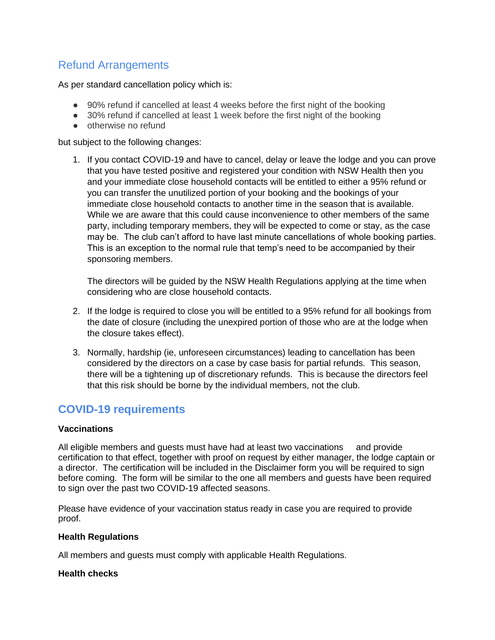# Refund Arrangements

As per standard cancellation policy which is:

- 90% refund if cancelled at least 4 weeks before the first night of the booking
- 30% refund if cancelled at least 1 week before the first night of the booking
- otherwise no refund

but subject to the following changes:

1. If you contact COVID-19 and have to cancel, delay or leave the lodge and you can prove that you have tested positive and registered your condition with NSW Health then you and your immediate close household contacts will be entitled to either a 95% refund or you can transfer the unutilized portion of your booking and the bookings of your immediate close household contacts to another time in the season that is available. While we are aware that this could cause inconvenience to other members of the same party, including temporary members, they will be expected to come or stay, as the case may be. The club can't afford to have last minute cancellations of whole booking parties. This is an exception to the normal rule that temp's need to be accompanied by their sponsoring members.

The directors will be guided by the NSW Health Regulations applying at the time when considering who are close household contacts.

- 2. If the lodge is required to close you will be entitled to a 95% refund for all bookings from the date of closure (including the unexpired portion of those who are at the lodge when the closure takes effect).
- 3. Normally, hardship (ie, unforeseen circumstances) leading to cancellation has been considered by the directors on a case by case basis for partial refunds. This season, there will be a tightening up of discretionary refunds. This is because the directors feel that this risk should be borne by the individual members, not the club.

# **COVID-19 requirements**

## **Vaccinations**

All eligible members and guests must have had at least two vaccinations and provide certification to that effect, together with proof on request by either manager, the lodge captain or a director. The certification will be included in the Disclaimer form you will be required to sign before coming. The form will be similar to the one all members and guests have been required to sign over the past two COVID-19 affected seasons.

Please have evidence of your vaccination status ready in case you are required to provide proof.

#### **Health Regulations**

All members and guests must comply with applicable Health Regulations.

#### **Health checks**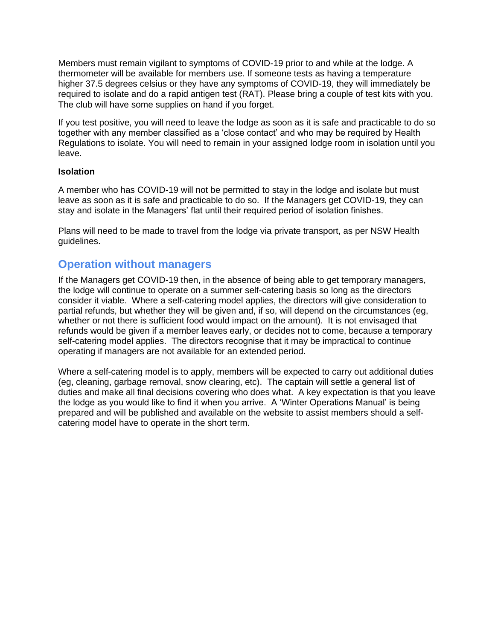Members must remain vigilant to symptoms of COVID-19 prior to and while at the lodge. A thermometer will be available for members use. If someone tests as having a temperature higher 37.5 degrees celsius or they have any symptoms of COVID-19, they will immediately be required to isolate and do a rapid antigen test (RAT). Please bring a couple of test kits with you. The club will have some supplies on hand if you forget.

If you test positive, you will need to leave the lodge as soon as it is safe and practicable to do so together with any member classified as a 'close contact' and who may be required by Health Regulations to isolate. You will need to remain in your assigned lodge room in isolation until you leave.

## **Isolation**

A member who has COVID-19 will not be permitted to stay in the lodge and isolate but must leave as soon as it is safe and practicable to do so. If the Managers get COVID-19, they can stay and isolate in the Managers' flat until their required period of isolation finishes.

Plans will need to be made to travel from the lodge via private transport, as per NSW Health guidelines.

## **Operation without managers**

If the Managers get COVID-19 then, in the absence of being able to get temporary managers, the lodge will continue to operate on a summer self-catering basis so long as the directors consider it viable. Where a self-catering model applies, the directors will give consideration to partial refunds, but whether they will be given and, if so, will depend on the circumstances (eg, whether or not there is sufficient food would impact on the amount). It is not envisaged that refunds would be given if a member leaves early, or decides not to come, because a temporary self-catering model applies. The directors recognise that it may be impractical to continue operating if managers are not available for an extended period.

Where a self-catering model is to apply, members will be expected to carry out additional duties (eg, cleaning, garbage removal, snow clearing, etc). The captain will settle a general list of duties and make all final decisions covering who does what. A key expectation is that you leave the lodge as you would like to find it when you arrive. A 'Winter Operations Manual' is being prepared and will be published and available on the website to assist members should a selfcatering model have to operate in the short term.